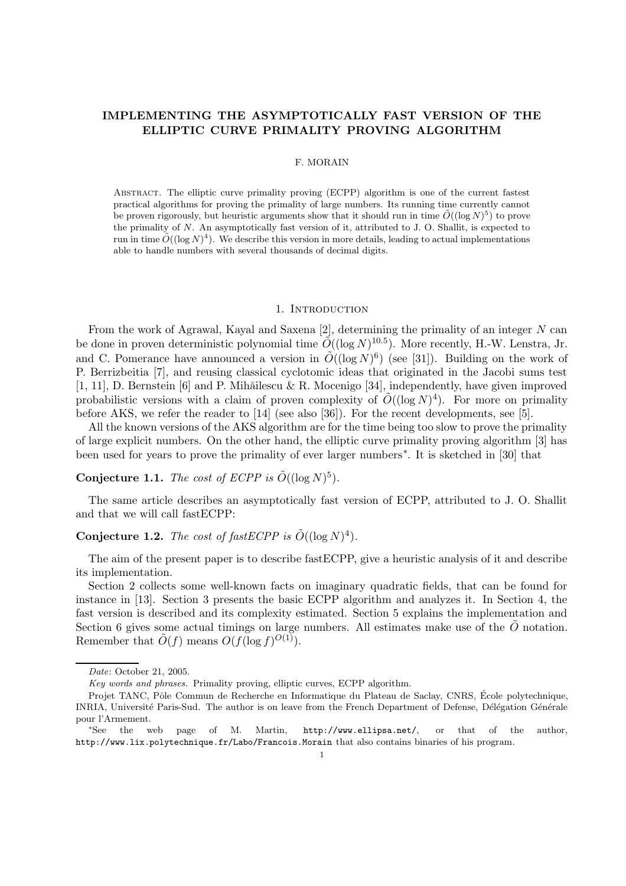## IMPLEMENTING THE ASYMPTOTICALLY FAST VERSION OF THE ELLIPTIC CURVE PRIMALITY PROVING ALGORITHM

#### F. MORAIN

Abstract. The elliptic curve primality proving (ECPP) algorithm is one of the current fastest practical algorithms for proving the primality of large numbers. Its running time currently cannot be proven rigorously, but heuristic arguments show that it should run in time  $\tilde{O}((\log N)^5)$  to prove the primality of N. An asymptotically fast version of it, attributed to J. O. Shallit, is expected to run in time  $\tilde{O}((\log N)^4)$ . We describe this version in more details, leading to actual implementations able to handle numbers with several thousands of decimal digits.

#### 1. INTRODUCTION

From the work of Agrawal, Kayal and Saxena [2], determining the primality of an integer  $N$  can be done in proven deterministic polynomial time  $\tilde{O}((\log N)^{10.5})$ . More recently, H.-W. Lenstra, Jr. and C. Pomerance have announced a version in  $\tilde{O}((\log N)^6)$  (see [31]). Building on the work of P. Berrizbeitia [7], and reusing classical cyclotomic ideas that originated in the Jacobi sums test [1, 11], D. Bernstein [6] and P. Mihăilescu & R. Mocenigo [34], independently, have given improved probabilistic versions with a claim of proven complexity of  $\tilde{O}((\log N)^4)$ . For more on primality before AKS, we refer the reader to [14] (see also [36]). For the recent developments, see [5].

All the known versions of the AKS algorithm are for the time being too slow to prove the primality of large explicit numbers. On the other hand, the elliptic curve primality proving algorithm [3] has been used for years to prove the primality of ever larger numbers∗ . It is sketched in [30] that

# **Conjecture 1.1.** The cost of ECPP is  $\tilde{O}((\log N)^5)$ .

The same article describes an asymptotically fast version of ECPP, attributed to J. O. Shallit and that we will call fastECPP:

# **Conjecture 1.2.** The cost of fast ECPP is  $\tilde{O}((\log N)^4)$ .

The aim of the present paper is to describe fastECPP, give a heuristic analysis of it and describe its implementation.

Section 2 collects some well-known facts on imaginary quadratic fields, that can be found for instance in [13]. Section 3 presents the basic ECPP algorithm and analyzes it. In Section 4, the fast version is described and its complexity estimated. Section 5 explains the implementation and Section 6 gives some actual timings on large numbers. All estimates make use of the  $\tilde{O}$  notation. Remember that  $\tilde{O}(f)$  means  $O(f(\log f)^{O(1)})$ .

Date: October 21, 2005.

Key words and phrases. Primality proving, elliptic curves, ECPP algorithm.

Projet TANC, Pôle Commun de Recherche en Informatique du Plateau de Saclay, CNRS, École polytechnique, INRIA, Université Paris-Sud. The author is on leave from the French Department of Defense, Délégation Générale pour l'Armement.

<sup>∗</sup>See the web page of M. Martin, http://www.ellipsa.net/, or that of the author, http://www.lix.polytechnique.fr/Labo/Francois.Morain that also contains binaries of his program.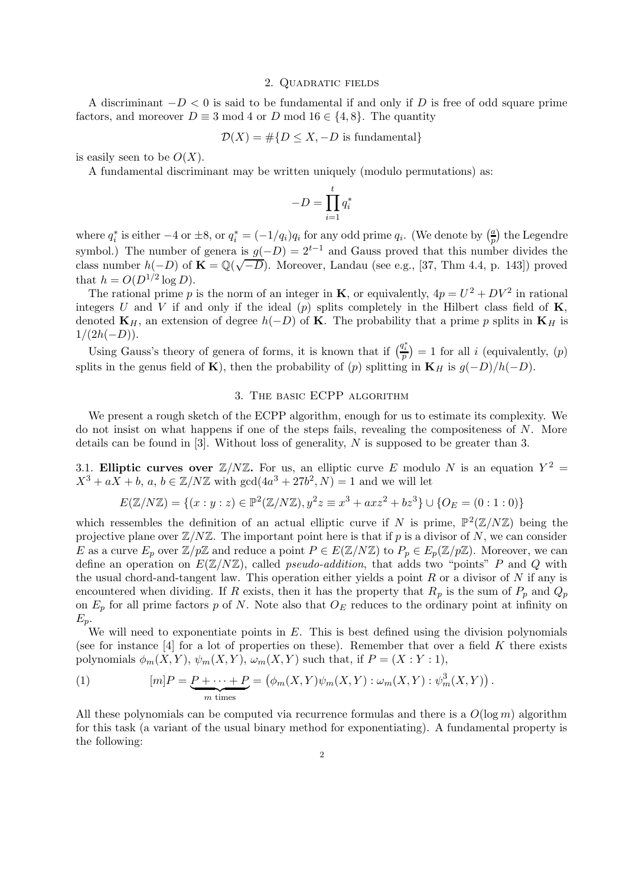#### 2. Quadratic fields

A discriminant  $-D < 0$  is said to be fundamental if and only if D is free of odd square prime factors, and moreover  $D \equiv 3 \mod 4$  or D mod  $16 \in \{4, 8\}$ . The quantity

$$
\mathcal{D}(X) = \#\{D \le X, -D \text{ is fundamental}\}
$$

is easily seen to be  $O(X)$ .

A fundamental discriminant may be written uniquely (modulo permutations) as:

$$
-D=\prod_{i=1}^t q_i^*
$$

where  $q_i^*$  is either  $-4$  or  $\pm 8$ , or  $q_i^* = (-1/q_i)q_i$  for any odd prime  $q_i$ . (We denote by  $\left(\frac{a}{p}\right)$  $\frac{a}{p}$  the Legendre symbol.) The number of genera is  $g(-D) = 2^{t-1}$  and Gauss proved that this number divides the class number  $h(-D)$  of  $\mathbf{K} = \mathbb{Q}(\sqrt{-D})$ . Moreover, Landau (see e.g., [37, Thm 4.4, p. 143]) proved that  $h = O(D^{1/2} \log D)$ .

The rational prime p is the norm of an integer in **K**, or equivalently,  $4p = U^2 + DV^2$  in rational integers U and V if and only if the ideal  $(p)$  splits completely in the Hilbert class field of  $\mathbf{K}$ , denoted  $\mathbf{K}_H$ , an extension of degree  $h(-D)$  of **K**. The probability that a prime p splits in  $\mathbf{K}_H$  is  $1/(2h(-D)).$ 

Using Gauss's theory of genera of forms, it is known that if  $\left(\frac{q_i^*}{p}\right) = 1$  for all i (equivalently,  $(p)$ ) splits in the genus field of K), then the probability of (p) splitting in K<sub>H</sub> is  $g(-D)/h(-D)$ .

### 3. The basic ECPP algorithm

We present a rough sketch of the ECPP algorithm, enough for us to estimate its complexity. We do not insist on what happens if one of the steps fails, revealing the compositeness of N. More details can be found in [3]. Without loss of generality, N is supposed to be greater than 3.

3.1. Elliptic curves over  $\mathbb{Z}/N\mathbb{Z}$ . For us, an elliptic curve E modulo N is an equation  $Y^2 =$  $X^3 + aX + b$ ,  $a, b \in \mathbb{Z}/N\mathbb{Z}$  with  $gcd(4a^3 + 27b^2, N) = 1$  and we will let

$$
E(\mathbb{Z}/N\mathbb{Z}) = \{(x : y : z) \in \mathbb{P}^2(\mathbb{Z}/N\mathbb{Z}), y^2 z \equiv x^3 + axz^2 + bz^3\} \cup \{O_E = (0 : 1 : 0)\}
$$

which ressembles the definition of an actual elliptic curve if N is prime,  $\mathbb{P}^2(\mathbb{Z}/N\mathbb{Z})$  being the projective plane over  $\mathbb{Z}/N\mathbb{Z}$ . The important point here is that if p is a divisor of N, we can consider E as a curve  $E_p$  over  $\mathbb{Z}/p\mathbb{Z}$  and reduce a point  $P \in E(\mathbb{Z}/N\mathbb{Z})$  to  $P_p \in E_p(\mathbb{Z}/p\mathbb{Z})$ . Moreover, we can define an operation on  $E(\mathbb{Z}/N\mathbb{Z})$ , called *pseudo-addition*, that adds two "points" P and Q with the usual chord-and-tangent law. This operation either yields a point  $R$  or a divisor of  $N$  if any is encountered when dividing. If R exists, then it has the property that  $R_p$  is the sum of  $P_p$  and  $Q_p$ on  $E_p$  for all prime factors p of N. Note also that  $O_E$  reduces to the ordinary point at infinity on  $E_p$ .

We will need to exponentiate points in  $E$ . This is best defined using the division polynomials (see for instance  $[4]$  for a lot of properties on these). Remember that over a field K there exists polynomials  $\phi_m(X, Y)$ ,  $\psi_m(X, Y)$ ,  $\omega_m(X, Y)$  such that, if  $P = (X : Y : 1)$ ,

(1) 
$$
[m]P = \underbrace{P + \cdots + P}_{m \text{ times}} = (\phi_m(X, Y)\psi_m(X, Y) : \omega_m(X, Y) : \psi_m^3(X, Y)).
$$

All these polynomials can be computed via recurrence formulas and there is a  $O(\log m)$  algorithm for this task (a variant of the usual binary method for exponentiating). A fundamental property is the following: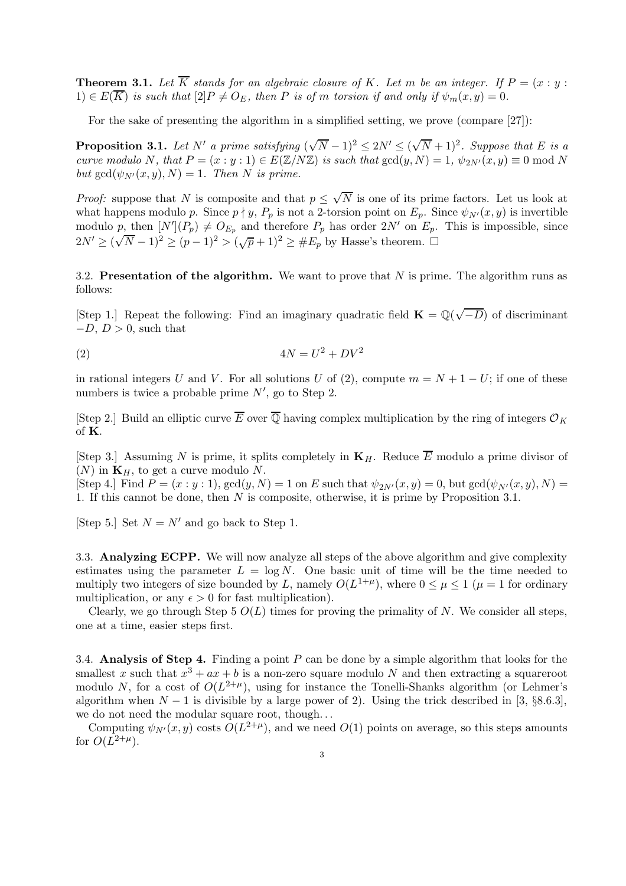**Theorem 3.1.** Let  $\overline{K}$  stands for an algebraic closure of K. Let m be an integer. If  $P = (x : y : y)$  $1) \in E(\overline{K})$  is such that  $[2]P \neq O_E$ , then P is of m torsion if and only if  $\psi_m(x, y) = 0$ .

For the sake of presenting the algorithm in a simplified setting, we prove (compare [27]):

**Proposition 3.1.** Let N' a prime satisfying  $(\sqrt{N}-1)^2 \leq 2N' \leq (\sqrt{N}+1)^2$ . Suppose that E is a curve modulo N, that  $P = (x : y : 1) \in E(\mathbb{Z}/N\mathbb{Z})$  is such that  $gcd(y, N) = 1$ ,  $\psi_{2N'}(x, y) \equiv 0 \mod N$ but  $gcd(\psi_{N'}(x, y), N) = 1$ . Then N is prime.

*Proof:* suppose that N is composite and that  $p \leq \sqrt{N}$  is one of its prime factors. Let us look at what happens modulo p. Since  $p \nmid y$ ,  $P_p$  is not a 2-torsion point on  $E_p$ . Since  $\psi_{N'}(x, y)$  is invertible modulo  $p$ , then  $[N'](P_p) \neq O_{E_p}$  and therefore  $P_p$  has order  $2N'$  on  $E_p$ . This is impossible, since  $2N' \geq (\sqrt{N}-1)^2 \geq (p-1)^2 > (\sqrt{p}+1)^2 \geq \#E_p$  by Hasse's theorem.  $\Box$ 

3.2. Presentation of the algorithm. We want to prove that  $N$  is prime. The algorithm runs as follows:

[Step 1.] Repeat the following: Find an imaginary quadratic field  $\mathbf{K} = \mathbb{Q}(\sqrt{-D})$  of discriminant  $-D, D > 0$ , such that

$$
(2) \t\t 4N = U^2 + DV^2
$$

in rational integers U and V. For all solutions U of (2), compute  $m = N + 1 - U$ ; if one of these numbers is twice a probable prime  $N'$ , go to Step 2.

[Step 2.] Build an elliptic curve  $\overline{E}$  over  $\overline{Q}$  having complex multiplication by the ring of integers  $\mathcal{O}_K$ of K.

[Step 3.] Assuming N is prime, it splits completely in  $\mathbf{K}_H$ . Reduce  $\overline{E}$  modulo a prime divisor of  $(N)$  in  $\mathbf{K}_H$ , to get a curve modulo N.

[Step 4.] Find  $P = (x : y : 1)$ ,  $gcd(y, N) = 1$  on E such that  $\psi_{2N'}(x, y) = 0$ , but  $gcd(\psi_{N'}(x, y), N) =$ 1. If this cannot be done, then N is composite, otherwise, it is prime by Proposition 3.1.

[Step 5.] Set  $N = N'$  and go back to Step 1.

3.3. Analyzing ECPP. We will now analyze all steps of the above algorithm and give complexity estimates using the parameter  $L = \log N$ . One basic unit of time will be the time needed to multiply two integers of size bounded by L, namely  $O(L^{1+\mu})$ , where  $0 \le \mu \le 1$  ( $\mu = 1$  for ordinary multiplication, or any  $\epsilon > 0$  for fast multiplication).

Clearly, we go through Step 5  $O(L)$  times for proving the primality of N. We consider all steps, one at a time, easier steps first.

3.4. Analysis of Step 4. Finding a point  $P$  can be done by a simple algorithm that looks for the smallest x such that  $x^3 + ax + b$  is a non-zero square modulo N and then extracting a squareroot modulo N, for a cost of  $O(L^{2+\mu})$ , using for instance the Tonelli-Shanks algorithm (or Lehmer's algorithm when  $N-1$  is divisible by a large power of 2). Using the trick described in [3, §8.6.3], we do not need the modular square root, though. . .

Computing  $\psi_{N'}(x, y)$  costs  $O(L^{2+\mu})$ , and we need  $O(1)$  points on average, so this steps amounts for  $O(L^{2+\mu}).$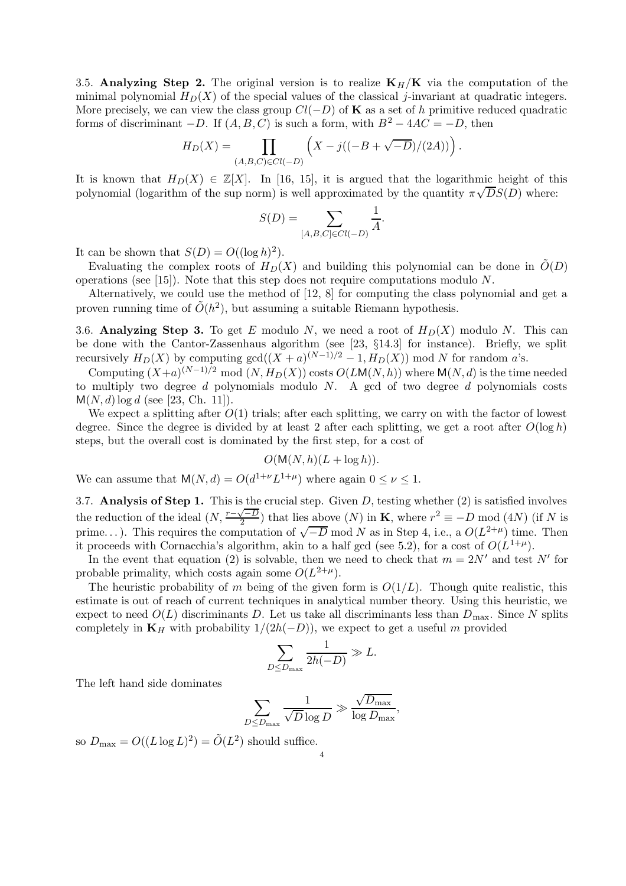3.5. Analyzing Step 2. The original version is to realize  $K_H/K$  via the computation of the minimal polynomial  $H_D(X)$  of the special values of the classical j-invariant at quadratic integers. More precisely, we can view the class group  $Cl(-D)$  of **K** as a set of h primitive reduced quadratic forms of discriminant  $-D$ . If  $(A, B, C)$  is such a form, with  $B^2 - 4AC = -D$ , then

$$
H_D(X) = \prod_{(A,B,C)\in Cl(-D)} \left( X - j((-B + \sqrt{-D})/(2A)) \right).
$$

It is known that  $H_D(X) \in \mathbb{Z}[X]$ . In [16, 15], it is argued that the logarithmic height of this polynomial (logarithm of the sup norm) is well approximated by the quantity  $\pi\sqrt{DS}(D)$  where:

$$
S(D) = \sum_{[A,B,C] \in Cl(-D)} \frac{1}{A}.
$$

It can be shown that  $S(D) = O((\log h)^2)$ .

Evaluating the complex roots of  $H_D(X)$  and building this polynomial can be done in  $\tilde{O}(D)$ operations (see [15]). Note that this step does not require computations modulo  $N$ .

Alternatively, we could use the method of [12, 8] for computing the class polynomial and get a proven running time of  $\tilde{O}(h^2)$ , but assuming a suitable Riemann hypothesis.

3.6. Analyzing Step 3. To get E modulo N, we need a root of  $H_D(X)$  modulo N. This can be done with the Cantor-Zassenhaus algorithm (see [23, §14.3] for instance). Briefly, we split recursively  $H_D(X)$  by computing  $gcd((X + a)^{(N-1)/2} - 1, H_D(X))$  mod N for random a's.

Computing  $(X+a)^{(N-1)/2} \mod(N, H_D(X))$  costs  $O(LM(N, h))$  where  $M(N, d)$  is the time needed to multiply two degree d polynomials modulo  $N$ . A gcd of two degree d polynomials costs  $M(N, d)$  log d (see [23, Ch. 11]).

We expect a splitting after  $O(1)$  trials; after each splitting, we carry on with the factor of lowest degree. Since the degree is divided by at least 2 after each splitting, we get a root after  $O(\log h)$ steps, but the overall cost is dominated by the first step, for a cost of

$$
O(\mathsf{M}(N,h)(L+\log h)).
$$

We can assume that  $M(N, d) = O(d^{1+\nu}L^{1+\mu})$  where again  $0 \le \nu \le 1$ .

3.7. Analysis of Step 1. This is the crucial step. Given D, testing whether (2) is satisfied involves the reduction of the ideal  $(N, \frac{r-\sqrt{-D}}{2})$  that lies above  $(N)$  in **K**, where  $r^2 \equiv -D \mod (4N)$  (if N is prime...). This requires the computation of  $\sqrt{-D}$  mod N as in Step 4, i.e., a  $O(L^{2+\mu})$  time. Then it proceeds with Cornacchia's algorithm, akin to a half gcd (see 5.2), for a cost of  $O(L^{1+\mu})$ .

In the event that equation (2) is solvable, then we need to check that  $m = 2N'$  and test N' for probable primality, which costs again some  $O(L^{2+\mu})$ .

The heuristic probability of m being of the given form is  $O(1/L)$ . Though quite realistic, this estimate is out of reach of current techniques in analytical number theory. Using this heuristic, we expect to need  $O(L)$  discriminants D. Let us take all discriminants less than  $D_{\text{max}}$ . Since N splits completely in  $\mathbf{K}_H$  with probability  $1/(2h(-D))$ , we expect to get a useful m provided

$$
\sum_{D \le D_{\text{max}}} \frac{1}{2h(-D)} \gg L.
$$

The left hand side dominates

$$
\sum_{D \le D_{\text{max}}} \frac{1}{\sqrt{D} \log D} \gg \frac{\sqrt{D_{\text{max}}}}{\log D_{\text{max}}},
$$

so  $D_{\text{max}} = O((L \log L)^2) = \tilde{O}(L^2)$  should suffice.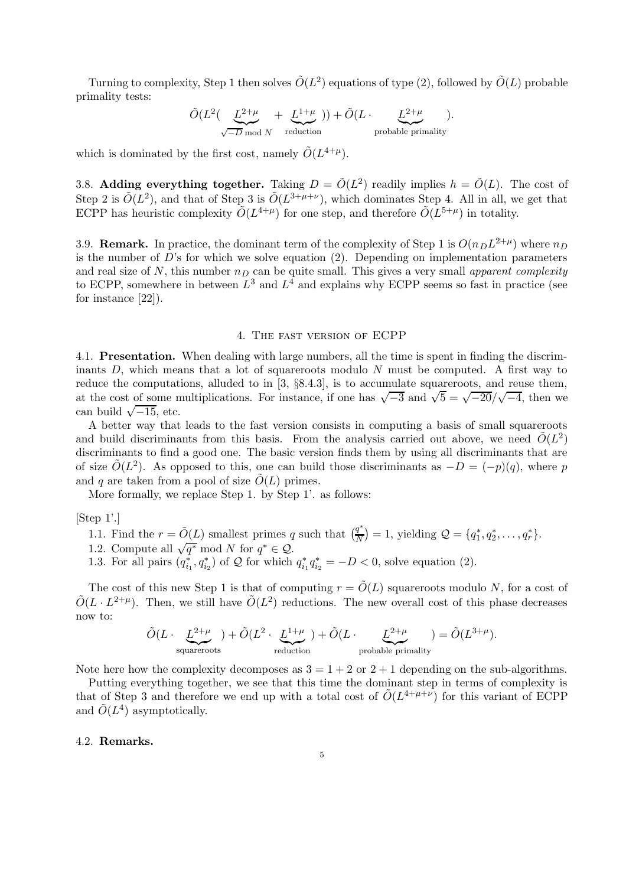Turning to complexity, Step 1 then solves  $\tilde{O}(L^2)$  equations of type (2), followed by  $\tilde{O}(L)$  probable primality tests:

$$
\tilde{O}(L^2(\underbrace{L^{2+\mu}}_{\sqrt{-D} \bmod N} + \underbrace{L^{1+\mu}}_{\text{reduction}})) + \tilde{O}(L \cdot \underbrace{L^{2+\mu}}_{\text{probable primality}}).
$$

which is dominated by the first cost, namely  $\tilde{O}(L^{4+\mu}).$ 

3.8. Adding everything together. Taking  $D = \tilde{O}(L^2)$  readily implies  $h = \tilde{O}(L)$ . The cost of Step 2 is  $\tilde{O}(L^2)$ , and that of Step 3 is  $\tilde{O}(L^{3+\mu+\nu})$ , which dominates Step 4. All in all, we get that ECPP has heuristic complexity  $\tilde{O}(L^{4+\mu})$  for one step, and therefore  $\tilde{O}(L^{5+\mu})$  in totality.

3.9. **Remark.** In practice, the dominant term of the complexity of Step 1 is  $O(n_D L^{2+\mu})$  where  $n_D$ is the number of  $D$ 's for which we solve equation (2). Depending on implementation parameters and real size of N, this number  $n<sub>D</sub>$  can be quite small. This gives a very small apparent complexity to ECPP, somewhere in between  $L^3$  and  $L^4$  and explains why ECPP seems so fast in practice (see for instance [22]).

#### 4. The fast version of ECPP

4.1. Presentation. When dealing with large numbers, all the time is spent in finding the discriminants  $D$ , which means that a lot of squareroots modulo  $N$  must be computed. A first way to reduce the computations, alluded to in [3, §8.4.3], is to accumulate squareroots, and reuse them, at the cost of some multiplications. For instance, if one has  $\sqrt{-3}$  and  $\sqrt{5} = \sqrt{-20}/\sqrt{-4}$ , then we can build  $\sqrt{-15}$ , etc.

A better way that leads to the fast version consists in computing a basis of small squareroots and build discriminants from this basis. From the analysis carried out above, we need  $\tilde{O}(L^2)$ discriminants to find a good one. The basic version finds them by using all discriminants that are of size  $\tilde{O}(L^2)$ . As opposed to this, one can build those discriminants as  $-D = (-p)(q)$ , where p and q are taken from a pool of size  $\tilde{O}(L)$  primes.

More formally, we replace Step 1. by Step 1'. as follows:

[Step 1'.]

1.1. Find the 
$$
r = \tilde{O}(L)
$$
 smallest primes q such that  $\left(\frac{q^*}{N}\right) = 1$ , yielding  $Q = \{q_1^*, q_2^*, \ldots, q_r^*\}$ .

- 1.2. Compute all  $\sqrt{q^*} \mod N$  for  $q^* \in \mathcal{Q}$ .
- 1.3. For all pairs  $(q_{i_1}^*, q_{i_2}^*)$  of  $Q$  for which  $q_{i_1}^* q_{i_2}^* = -D < 0$ , solve equation (2).

The cost of this new Step 1 is that of computing  $r = O(L)$  squareroots modulo N, for a cost of  $\tilde{O}(L \cdot L^{2+\mu})$ . Then, we still have  $\tilde{O}(L^2)$  reductions. The new overall cost of this phase decreases now to:

$$
\tilde O(L\cdot\underbrace{L^{2+\mu}}_{\text{squareoots}})+\tilde O(L^2\cdot\underbrace{L^{1+\mu}}_{\text{reduction}})+\tilde O(L\cdot\underbrace{L^{2+\mu}}_{\text{probable primality}})=\tilde O(L^{3+\mu}).
$$

Note here how the complexity decomposes as  $3 = 1 + 2$  or  $2 + 1$  depending on the sub-algorithms.

Putting everything together, we see that this time the dominant step in terms of complexity is that of Step 3 and therefore we end up with a total cost of  $\tilde{O}(L^{4+\mu+\nu})$  for this variant of ECPP and  $\tilde{O}(L^4)$  asymptotically.

## 4.2. Remarks.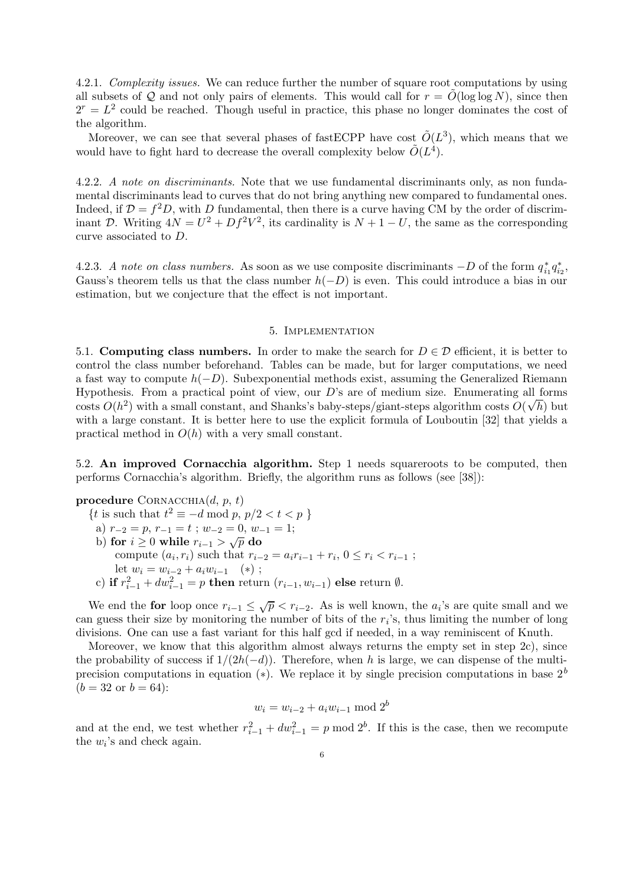4.2.1. Complexity issues. We can reduce further the number of square root computations by using all subsets of Q and not only pairs of elements. This would call for  $r = O(\log \log N)$ , since then  $2<sup>r</sup> = L<sup>2</sup>$  could be reached. Though useful in practice, this phase no longer dominates the cost of the algorithm.

Moreover, we can see that several phases of fast ECPP have cost  $\tilde{O}(L^3)$ , which means that we would have to fight hard to decrease the overall complexity below  $\tilde{O}(L^4)$ .

4.2.2. A note on discriminants. Note that we use fundamental discriminants only, as non fundamental discriminants lead to curves that do not bring anything new compared to fundamental ones. Indeed, if  $\mathcal{D} = f^2 D$ , with D fundamental, then there is a curve having CM by the order of discriminant D. Writing  $4N = U^2 + Df^2V^2$ , its cardinality is  $N + 1 - U$ , the same as the corresponding curve associated to D.

4.2.3. A note on class numbers. As soon as we use composite discriminants  $-D$  of the form  $q_{i_1}^* q_{i_2}^*$ , Gauss's theorem tells us that the class number  $h(-D)$  is even. This could introduce a bias in our estimation, but we conjecture that the effect is not important.

### 5. Implementation

5.1. Computing class numbers. In order to make the search for  $D \in \mathcal{D}$  efficient, it is better to control the class number beforehand. Tables can be made, but for larger computations, we need a fast way to compute  $h(-D)$ . Subexponential methods exist, assuming the Generalized Riemann Hypothesis. From a practical point of view, our  $D$ 's are of medium size. Enumerating all forms  $\cos$  costs  $O(h^2)$  with a small constant, and Shanks's baby-steps/giant-steps algorithm costs  $O(\sqrt{h})$  but with a large constant. It is better here to use the explicit formula of Louboutin [32] that yields a practical method in  $O(h)$  with a very small constant.

5.2. An improved Cornacchia algorithm. Step 1 needs squareroots to be computed, then performs Cornacchia's algorithm. Briefly, the algorithm runs as follows (see [38]):

procedure CORNACCHIA $(d, p, t)$ 

{*t* is such that  $t^2 \equiv -d \mod p$ ,  $p/2 < t < p$  } a)  $r_{-2} = p, r_{-1} = t$ ;  $w_{-2} = 0, w_{-1} = 1$ ; b) for  $i \geq 0$  while  $r_{i-1} > \sqrt{p}$  do compute  $(a_i, r_i)$  such that  $r_{i-2} = a_i r_{i-1} + r_i, 0 \le r_i < r_{i-1}$ ; let  $w_i = w_{i-2} + a_i w_{i-1}$  (\*); c) if  $r_{i-1}^2 + dw_{i-1}^2 = p$  then return  $(r_{i-1}, w_{i-1})$  else return  $\emptyset$ .

We end the for loop once  $r_{i-1} \leq \sqrt{p} < r_{i-2}$ . As is well known, the  $a_i$ 's are quite small and we can guess their size by monitoring the number of bits of the  $r_i$ 's, thus limiting the number of long divisions. One can use a fast variant for this half gcd if needed, in a way reminiscent of Knuth.

Moreover, we know that this algorithm almost always returns the empty set in step 2c), since the probability of success if  $1/(2h(-d))$ . Therefore, when h is large, we can dispense of the multiprecision computations in equation (\*). We replace it by single precision computations in base  $2^b$  $(b = 32 \text{ or } b = 64)$ :

$$
w_i = w_{i-2} + a_i w_{i-1} \bmod 2^b
$$

and at the end, we test whether  $r_{i-1}^2 + dw_{i-1}^2 = p \mod 2^b$ . If this is the case, then we recompute the  $w_i$ 's and check again.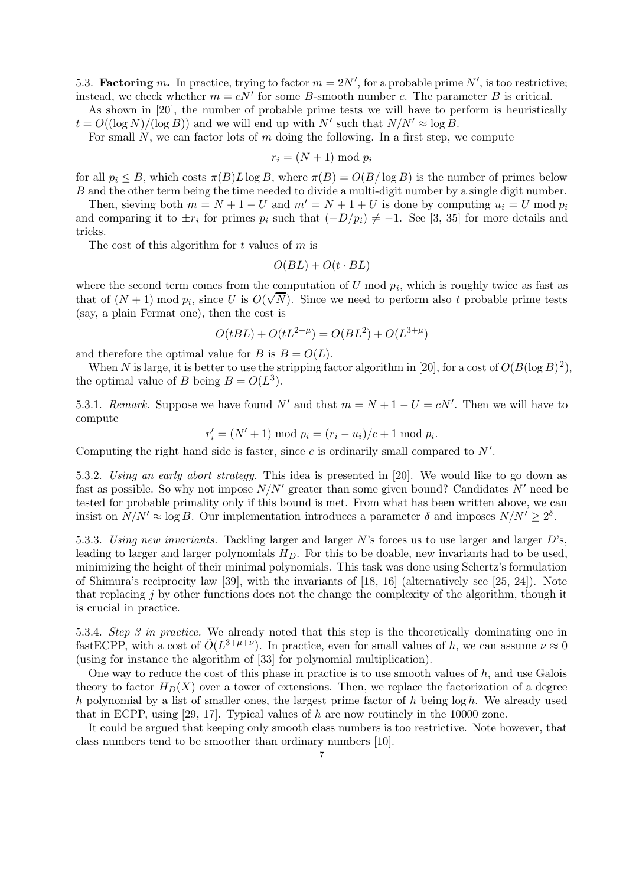5.3. **Factoring** m. In practice, trying to factor  $m = 2N'$ , for a probable prime N', is too restrictive; instead, we check whether  $m = cN'$  for some B-smooth number c. The parameter B is critical.

As shown in [20], the number of probable prime tests we will have to perform is heuristically  $t = O((\log N)/(\log B))$  and we will end up with N' such that  $N/N' \approx \log B$ .

For small  $N$ , we can factor lots of  $m$  doing the following. In a first step, we compute

$$
r_i = (N+1) \bmod p_i
$$

for all  $p_i \leq B$ , which costs  $\pi(B)L \log B$ , where  $\pi(B) = O(B/\log B)$  is the number of primes below B and the other term being the time needed to divide a multi-digit number by a single digit number.

Then, sieving both  $m = N + 1 - U$  and  $m' = N + 1 + U$  is done by computing  $u_i = U$  mod  $p_i$ and comparing it to  $\pm r_i$  for primes  $p_i$  such that  $(-D/p_i) \neq -1$ . See [3, 35] for more details and tricks.

The cost of this algorithm for  $t$  values of  $m$  is

$$
O(BL) + O(t \cdot BL)
$$

where the second term comes from the computation of U mod  $p_i$ , which is roughly twice as fast as that of  $(N + 1)$  mod  $p_i$ , since U is  $O(\sqrt{N})$ . Since we need to perform also t probable prime tests (say, a plain Fermat one), then the cost is

$$
O(tBL) + O(tL^{2+\mu}) = O(BL^2) + O(L^{3+\mu})
$$

and therefore the optimal value for B is  $B = O(L)$ .

When N is large, it is better to use the stripping factor algorithm in [20], for a cost of  $O(B(\log B)^2)$ , the optimal value of B being  $B = O(L^3)$ .

5.3.1. Remark. Suppose we have found N' and that  $m = N + 1 - U = cN'$ . Then we will have to compute

$$
r'_i = (N' + 1) \bmod p_i = (r_i - u_i)/c + 1 \bmod p_i.
$$

Computing the right hand side is faster, since c is ordinarily small compared to  $N'$ .

5.3.2. Using an early abort strategy. This idea is presented in [20]. We would like to go down as fast as possible. So why not impose  $N/N'$  greater than some given bound? Candidates N' need be tested for probable primality only if this bound is met. From what has been written above, we can insist on  $N/N' \approx \log B$ . Our implementation introduces a parameter  $\delta$  and imposes  $N/N' \geq 2^{\delta}$ .

5.3.3. Using new invariants. Tackling larger and larger N's forces us to use larger and larger  $D$ 's, leading to larger and larger polynomials  $H_D$ . For this to be doable, new invariants had to be used, minimizing the height of their minimal polynomials. This task was done using Schertz's formulation of Shimura's reciprocity law [39], with the invariants of [18, 16] (alternatively see [25, 24]). Note that replacing  $j$  by other functions does not the change the complexity of the algorithm, though it is crucial in practice.

5.3.4. Step 3 in practice. We already noted that this step is the theoretically dominating one in fastECPP, with a cost of  $\tilde{O}(L^{3+\mu+\nu})$ . In practice, even for small values of h, we can assume  $\nu \approx 0$ (using for instance the algorithm of [33] for polynomial multiplication).

One way to reduce the cost of this phase in practice is to use smooth values of  $h$ , and use Galois theory to factor  $H_D(X)$  over a tower of extensions. Then, we replace the factorization of a degree h polynomial by a list of smaller ones, the largest prime factor of h being  $\log h$ . We already used that in ECPP, using [29, 17]. Typical values of h are now routinely in the 10000 zone.

It could be argued that keeping only smooth class numbers is too restrictive. Note however, that class numbers tend to be smoother than ordinary numbers [10].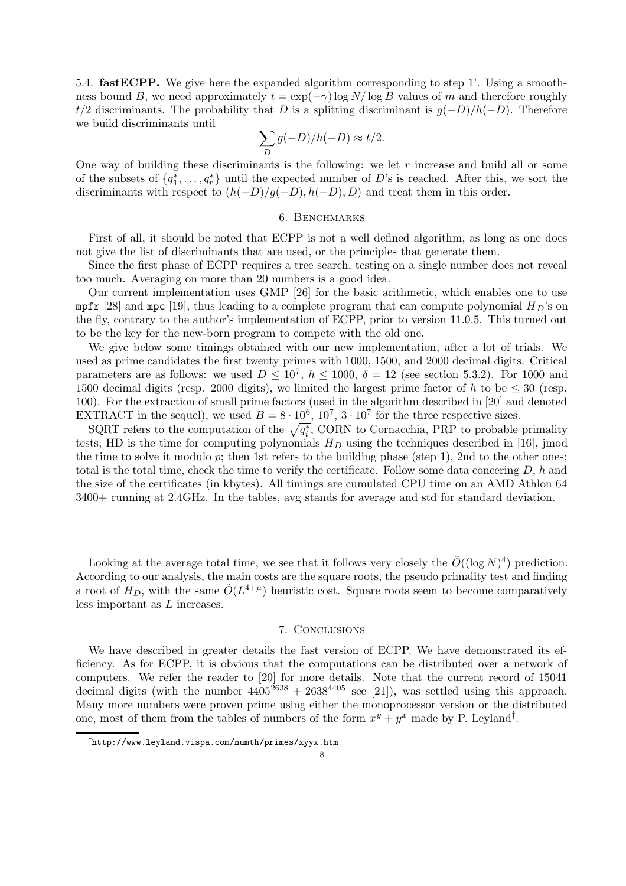5.4. fastECPP. We give here the expanded algorithm corresponding to step 1'. Using a smoothness bound B, we need approximately  $t = \exp(-\gamma) \log N / \log B$  values of m and therefore roughly t/2 discriminants. The probability that D is a splitting discriminant is  $g(-D)/h(-D)$ . Therefore we build discriminants until

$$
\sum_D g(-D)/h(-D) \approx t/2.
$$

One way of building these discriminants is the following: we let  $r$  increase and build all or some of the subsets of  $\{q_1^*, \ldots, q_r^*\}$  until the expected number of D's is reached. After this, we sort the discriminants with respect to  $(h(-D)/g(-D), h(-D), D)$  and treat them in this order.

#### 6. Benchmarks

First of all, it should be noted that ECPP is not a well defined algorithm, as long as one does not give the list of discriminants that are used, or the principles that generate them.

Since the first phase of ECPP requires a tree search, testing on a single number does not reveal too much. Averaging on more than 20 numbers is a good idea.

Our current implementation uses GMP [26] for the basic arithmetic, which enables one to use mpfr [28] and mpc [19], thus leading to a complete program that can compute polynomial  $H_D$ 's on the fly, contrary to the author's implementation of ECPP, prior to version 11.0.5. This turned out to be the key for the new-born program to compete with the old one.

We give below some timings obtained with our new implementation, after a lot of trials. We used as prime candidates the first twenty primes with 1000, 1500, and 2000 decimal digits. Critical parameters are as follows: we used  $D \leq 10^7$ ,  $h \leq 1000$ ,  $\delta = 12$  (see section 5.3.2). For 1000 and 1500 decimal digits (resp. 2000 digits), we limited the largest prime factor of h to be  $\leq 30$  (resp. 100). For the extraction of small prime factors (used in the algorithm described in [20] and denoted EXTRACT in the sequel), we used  $B = 8 \cdot 10^6$ ,  $10^7$ ,  $3 \cdot 10^7$  for the three respective sizes.

SQRT refers to the computation of the  $\sqrt{q_i^*}$ , CORN to Cornacchia, PRP to probable primality tests; HD is the time for computing polynomials  $H_D$  using the techniques described in [16], jmod the time to solve it modulo  $p$ ; then 1st refers to the building phase (step 1), 2nd to the other ones; total is the total time, check the time to verify the certificate. Follow some data concering  $D$ , h and the size of the certificates (in kbytes). All timings are cumulated CPU time on an AMD Athlon 64 3400+ running at 2.4GHz. In the tables, avg stands for average and std for standard deviation.

Looking at the average total time, we see that it follows very closely the  $\tilde{O}((\log N)^4)$  prediction. According to our analysis, the main costs are the square roots, the pseudo primality test and finding a root of  $H_D$ , with the same  $\tilde{O}(L^{4+\mu})$  heuristic cost. Square roots seem to become comparatively less important as L increases.

## 7. Conclusions

We have described in greater details the fast version of ECPP. We have demonstrated its efficiency. As for ECPP, it is obvious that the computations can be distributed over a network of computers. We refer the reader to [20] for more details. Note that the current record of 15041 decimal digits (with the number  $4405^{2638} + 2638^{4405}$  see [21]), was settled using this approach. Many more numbers were proven prime using either the monoprocessor version or the distributed one, most of them from the tables of numbers of the form  $x^y + y^x$  made by P. Leyland<sup>†</sup>.

<sup>†</sup>http://www.leyland.vispa.com/numth/primes/xyyx.htm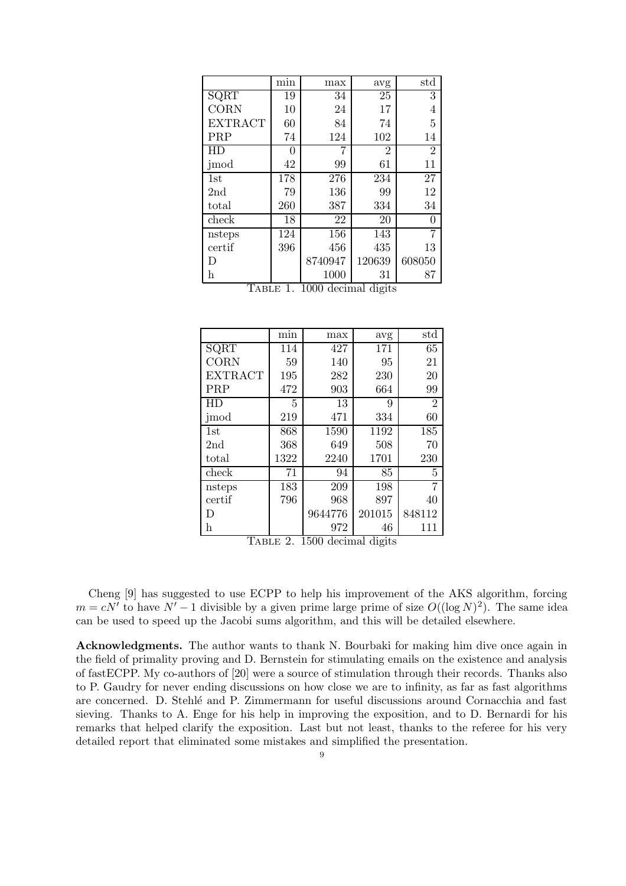|                 | $\overline{\min}$ | max     | avg            | std            |
|-----------------|-------------------|---------|----------------|----------------|
| SQRT            | 19                | 34      | 25             | 3              |
| <b>CORN</b>     | 10                | 24      | 17             | 4              |
| <b>EXTRACT</b>  | 60                | 84      | 74             | 5              |
| PRP             | 74                | 124     | 102            | 14             |
| HD              | 0                 | 7       | $\overline{2}$ | $\overline{2}$ |
| jmod            | 42                | 99      | 61             | 11             |
| 1st             | 178               | 276     | 234            | 27             |
| 2 <sub>nd</sub> | 79                | 136     | 99             | 12             |
| $_{\rm total}$  | 260               | 387     | 334            | 34             |
| check           | 18                | 22      | 20             | 0              |
| nsteps          | 124               | 156     | 143            | 7              |
| certif          | 396               | 456     | 435            | 13             |
| D               |                   | 8740947 | 120639         | 608050         |
| h               |                   | 1000    | 31             | 87             |

Table 1. 1000 decimal digits

|                 | $\overline{\min}$ | max     | avg    | std            |
|-----------------|-------------------|---------|--------|----------------|
| SQRT            | 114               | 427     | 171    | 65             |
| CORN            | 59                | 140     | 95     | 21             |
| <b>EXTRACT</b>  | 195               | 282     | 230    | 20             |
| PRP             | 472               | 903     | 664    | 99             |
| HD              | 5                 | 13      | 9      | $\overline{2}$ |
| jmod            | 219               | 471     | 334    | 60             |
| 1st             | 868               | 1590    | 1192   | 185            |
| 2 <sub>nd</sub> | 368               | 649     | 508    | 70             |
| total           | 1322              | 2240    | 1701   | 230            |
| check           | 71                | 94      | 85     | 5              |
| nsteps          | 183               | 209     | 198    | 7              |
| certif          | 796               | 968     | 897    | 40             |
| D               |                   | 9644776 | 201015 | 848112         |
| h               |                   | 972     | 46     | 111            |

Table 2. 1500 decimal digits

Cheng [9] has suggested to use ECPP to help his improvement of the AKS algorithm, forcing  $m = cN'$  to have  $N' - 1$  divisible by a given prime large prime of size  $O((\log N)^2)$ . The same idea can be used to speed up the Jacobi sums algorithm, and this will be detailed elsewhere.

Acknowledgments. The author wants to thank N. Bourbaki for making him dive once again in the field of primality proving and D. Bernstein for stimulating emails on the existence and analysis of fastECPP. My co-authors of [20] were a source of stimulation through their records. Thanks also to P. Gaudry for never ending discussions on how close we are to infinity, as far as fast algorithms are concerned. D. Stehl´e and P. Zimmermann for useful discussions around Cornacchia and fast sieving. Thanks to A. Enge for his help in improving the exposition, and to D. Bernardi for his remarks that helped clarify the exposition. Last but not least, thanks to the referee for his very detailed report that eliminated some mistakes and simplified the presentation.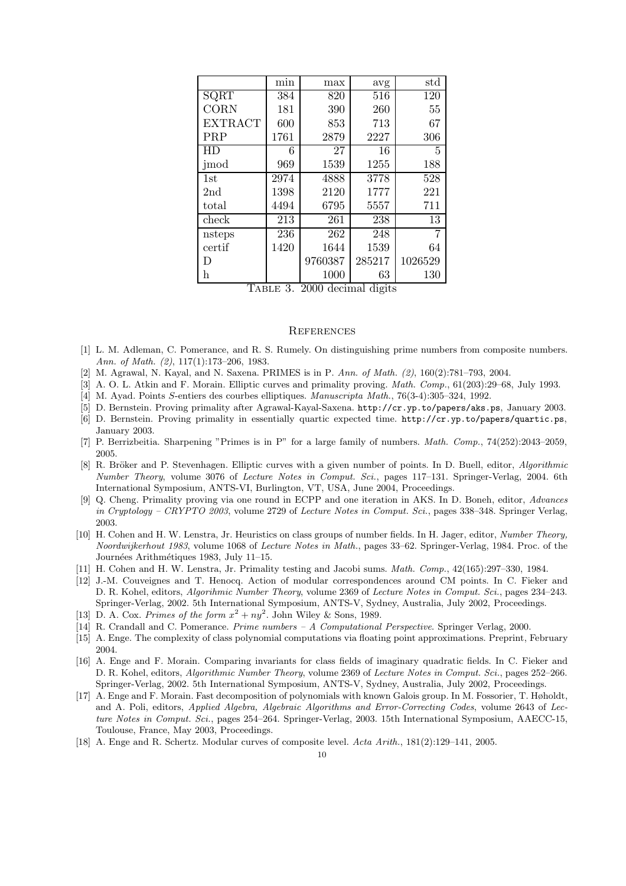|                               | $\overline{\min}$ | max     | avg          | std     |
|-------------------------------|-------------------|---------|--------------|---------|
| SQRT                          | 384               | 820     | 516          | 120     |
| <b>CORN</b>                   | 181               | 390     | 260          | 55      |
| <b>EXTRACT</b>                | 600               | 853     | 713          | 67      |
| PRP                           | 1761              | 2879    | 2227         | 306     |
| HD                            | 6                 | 27      | 16           | 5       |
| jmod                          | 969               | 1539    | 1255         | 188     |
| 1st                           | 2974              | 4888    | 3778         | 528     |
| 2 <sub>nd</sub>               | 1398              | 2120    | 1777         | 221     |
| total                         | 4494              | 6795    | 5557         | 711     |
| check                         | 213               | 261     | 238          | 13      |
| nsteps                        | 236               | 262     | 248          | 7       |
| certif                        | 1420              | 1644    | 1539         | 64      |
| D                             |                   | 9760387 | 285217       | 1026529 |
| h<br>$\overline{\phantom{a}}$ |                   | 1000    | 63<br>п.<br> | 130     |

Table 3. 2000 decimal digits

#### **REFERENCES**

- [1] L. M. Adleman, C. Pomerance, and R. S. Rumely. On distinguishing prime numbers from composite numbers. Ann. of Math. (2), 117(1):173–206, 1983.
- [2] M. Agrawal, N. Kayal, and N. Saxena. PRIMES is in P. Ann. of Math. (2), 160(2):781–793, 2004.
- [3] A. O. L. Atkin and F. Morain. Elliptic curves and primality proving. Math. Comp., 61(203):29–68, July 1993.
- [4] M. Ayad. Points S-entiers des courbes elliptiques. Manuscripta Math., 76(3-4):305–324, 1992.
- [5] D. Bernstein. Proving primality after Agrawal-Kayal-Saxena. http://cr.yp.to/papers/aks.ps, January 2003.
- [6] D. Bernstein. Proving primality in essentially quartic expected time. http://cr.yp.to/papers/quartic.ps, January 2003.
- [7] P. Berrizbeitia. Sharpening "Primes is in P" for a large family of numbers. Math. Comp., 74(252):2043–2059, 2005.
- [8] R. Bröker and P. Stevenhagen. Elliptic curves with a given number of points. In D. Buell, editor, Algorithmic Number Theory, volume 3076 of Lecture Notes in Comput. Sci., pages 117–131. Springer-Verlag, 2004. 6th International Symposium, ANTS-VI, Burlington, VT, USA, June 2004, Proceedings.
- [9] Q. Cheng. Primality proving via one round in ECPP and one iteration in AKS. In D. Boneh, editor, Advances in Cryptology – CRYPTO 2003, volume 2729 of Lecture Notes in Comput. Sci., pages 338–348. Springer Verlag, 2003.
- [10] H. Cohen and H. W. Lenstra, Jr. Heuristics on class groups of number fields. In H. Jager, editor, Number Theory, Noordwijkerhout 1983, volume 1068 of Lecture Notes in Math., pages 33–62. Springer-Verlag, 1984. Proc. of the Journées Arithmétiques 1983, July 11-15.
- [11] H. Cohen and H. W. Lenstra, Jr. Primality testing and Jacobi sums. Math. Comp., 42(165):297–330, 1984.
- [12] J.-M. Couveignes and T. Henocq. Action of modular correspondences around CM points. In C. Fieker and D. R. Kohel, editors, Algorihmic Number Theory, volume 2369 of Lecture Notes in Comput. Sci., pages 234–243. Springer-Verlag, 2002. 5th International Symposium, ANTS-V, Sydney, Australia, July 2002, Proceedings.
- [13] D. A. Cox. Primes of the form  $x^2 + ny^2$ . John Wiley & Sons, 1989.
- [14] R. Crandall and C. Pomerance. Prime numbers A Computational Perspective. Springer Verlag, 2000.
- [15] A. Enge. The complexity of class polynomial computations via floating point approximations. Preprint, February 2004.
- [16] A. Enge and F. Morain. Comparing invariants for class fields of imaginary quadratic fields. In C. Fieker and D. R. Kohel, editors, Algorithmic Number Theory, volume 2369 of Lecture Notes in Comput. Sci., pages 252–266. Springer-Verlag, 2002. 5th International Symposium, ANTS-V, Sydney, Australia, July 2002, Proceedings.
- [17] A. Enge and F. Morain. Fast decomposition of polynomials with known Galois group. In M. Fossorier, T. Høholdt, and A. Poli, editors, Applied Algebra, Algebraic Algorithms and Error-Correcting Codes, volume 2643 of Lecture Notes in Comput. Sci., pages 254–264. Springer-Verlag, 2003. 15th International Symposium, AAECC-15, Toulouse, France, May 2003, Proceedings.
- [18] A. Enge and R. Schertz. Modular curves of composite level. Acta Arith., 181(2):129–141, 2005.